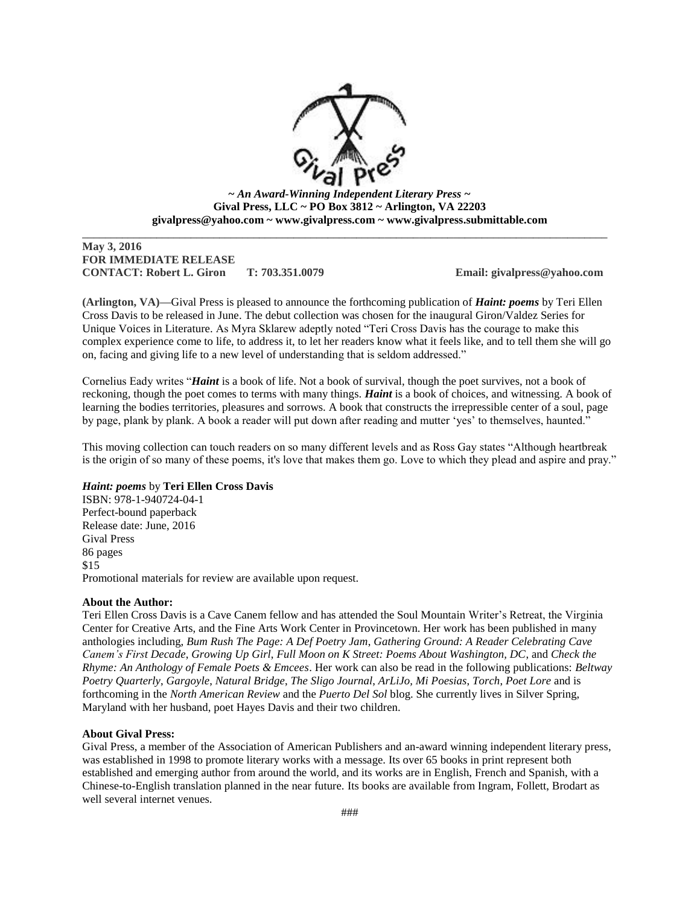

**~** *An Award-Winning Independent Literary Press ~* **Gival Press, LLC ~ PO Box 3812 ~ Arlington, VA 22203 givalpress@yahoo.com ~ www.givalpress.com ~ www.givalpress.submittable.com**

 $\overline{a}$  , and the state of the state of the state of the state of the state of the state of the state of the state of the state of the state of the state of the state of the state of the state of the state of the state o

## **May 3, 2016 FOR IMMEDIATE RELEASE CONTACT: Robert L. Giron T: 703.351.0079 Email: givalpress@yahoo.com**

**(Arlington, VA)—**Gival Press is pleased to announce the forthcoming publication of *Haint: poems* by Teri Ellen Cross Davis to be released in June. The debut collection was chosen for the inaugural Giron/Valdez Series for Unique Voices in Literature. As Myra Sklarew adeptly noted "Teri Cross Davis has the courage to make this complex experience come to life, to address it, to let her readers know what it feels like, and to tell them she will go on, facing and giving life to a new level of understanding that is seldom addressed."

Cornelius Eady writes "*Haint* is a book of life. Not a book of survival, though the poet survives, not a book of reckoning, though the poet comes to terms with many things. *Haint* is a book of choices, and witnessing. A book of learning the bodies territories, pleasures and sorrows. A book that constructs the irrepressible center of a soul, page by page, plank by plank. A book a reader will put down after reading and mutter 'yes' to themselves, haunted."

This moving collection can touch readers on so many different levels and as Ross Gay states "Although heartbreak is the origin of so many of these poems, it's love that makes them go. Love to which they plead and aspire and pray."

## *Haint: poems* by **Teri Ellen Cross Davis**

ISBN: 978-1-940724-04-1 Perfect-bound paperback Release date: June, 2016 Gival Press 86 pages \$15 Promotional materials for review are available upon request.

## **About the Author:**

Teri Ellen Cross Davis is a Cave Canem fellow and has attended the Soul Mountain Writer's Retreat, the Virginia Center for Creative Arts, and the Fine Arts Work Center in Provincetown. Her work has been published in many anthologies including, *Bum Rush The Page: A Def Poetry Jam*, *Gathering Ground: A Reader Celebrating Cave Canem's First Decade*, *Growing Up Girl*, *Full Moon on K Street: Poems About Washington, DC*, and *Check the Rhyme: An Anthology of Female Poets & Emcees*. Her work can also be read in the following publications: *Beltway Poetry Quarterly*, *Gargoyle*, *Natural Bridge*, *The Sligo Journal*, *ArLiJo, Mi Poesias*, *Torch*, *Poet Lore* and is forthcoming in the *North American Review* and the *Puerto Del Sol* blog. She currently lives in Silver Spring, Maryland with her husband, poet Hayes Davis and their two children.

## **About Gival Press:**

Gival Press, a member of the Association of American Publishers and an-award winning independent literary press, was established in 1998 to promote literary works with a message. Its over 65 books in print represent both established and emerging author from around the world, and its works are in English, French and Spanish, with a Chinese-to-English translation planned in the near future. Its books are available from Ingram, Follett, Brodart as well several internet venues.